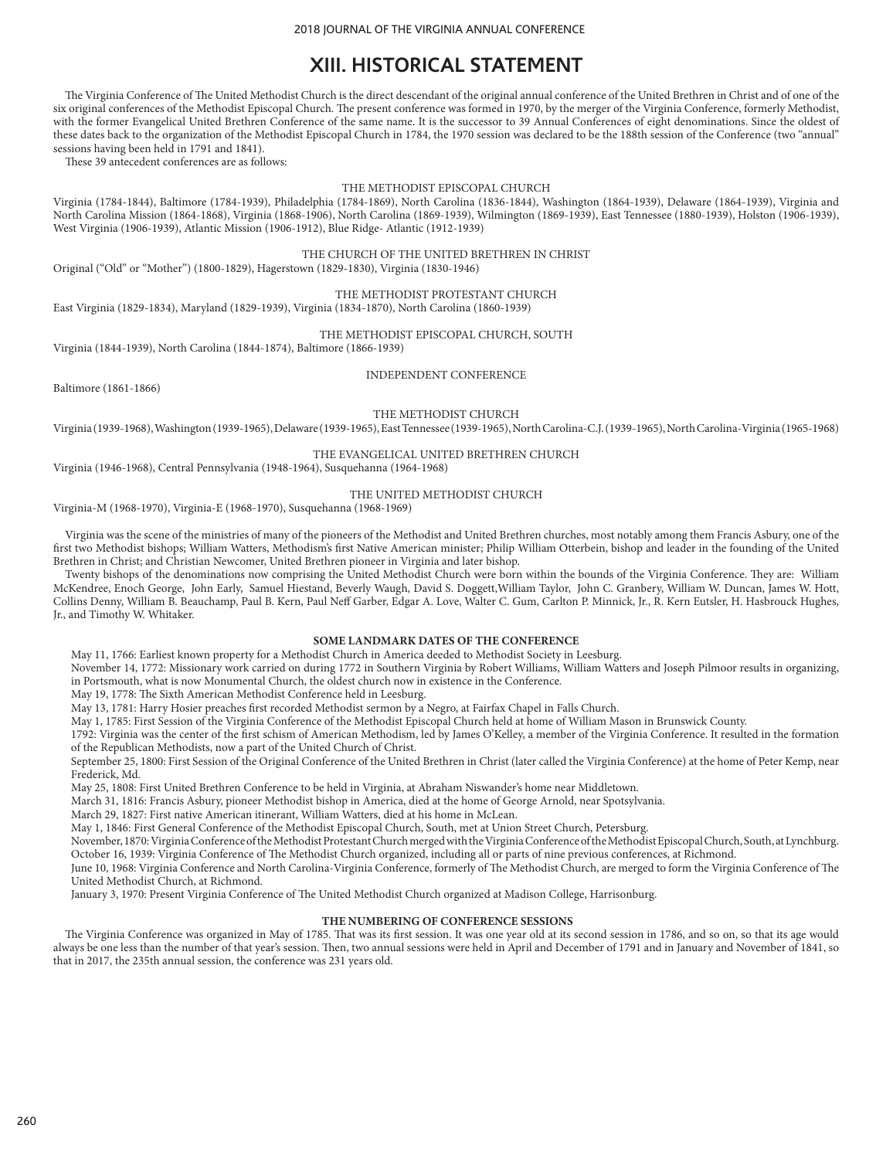# **XIII. HISTORICAL STATEMENT**

The Virginia Conference of The United Methodist Church is the direct descendant of the original annual conference of the United Brethren in Christ and of one of the six original conferences of the Methodist Episcopal Church. The present conference was formed in 1970, by the merger of the Virginia Conference, formerly Methodist, with the former Evangelical United Brethren Conference of the same name. It is the successor to 39 Annual Conferences of eight denominations. Since the oldest of these dates back to the organization of the Methodist Episcopal Church in 1784, the 1970 session was declared to be the 188th session of the Conference (two "annual" sessions having been held in 1791 and 1841).

These 39 antecedent conferences are as follows:

#### THE METHODIST EPISCOPAL CHURCH

Virginia (1784-1844), Baltimore (1784-1939), Philadelphia (1784-1869), North Carolina (1836-1844), Washington (1864-1939), Delaware (1864-1939), Virginia and North Carolina Mission (1864-1868), Virginia (1868-1906), North Carolina (1869-1939), Wilmington (1869-1939), East Tennessee (1880-1939), Holston (1906-1939), West Virginia (1906-1939), Atlantic Mission (1906-1912), Blue Ridge- Atlantic (1912-1939)

THE CHURCH OF THE UNITED BRETHREN IN CHRIST

Original ("Old" or "Mother") (1800-1829), Hagerstown (1829-1830), Virginia (1830-1946)

### THE METHODIST PROTESTANT CHURCH

East Virginia (1829-1834), Maryland (1829-1939), Virginia (1834-1870), North Carolina (1860-1939)

# THE METHODIST EPISCOPAL CHURCH, SOUTH

Virginia (1844-1939), North Carolina (1844-1874), Baltimore (1866-1939)

INDEPENDENT CONFERENCE

Baltimore (1861-1866)

THE METHODIST CHURCH

Virginia (1939-1968), Washington (1939-1965), Delaware (1939-1965), East Tennessee (1939-1965), North Carolina-C.J. (1939-1965), North Carolina-Virginia (1965-1968)

#### THE EVANGELICAL UNITED BRETHREN CHURCH

Virginia (1946-1968), Central Pennsylvania (1948-1964), Susquehanna (1964-1968)

#### THE UNITED METHODIST CHURCH

Virginia-M (1968-1970), Virginia-E (1968-1970), Susquehanna (1968-1969)

Virginia was the scene of the ministries of many of the pioneers of the Methodist and United Brethren churches, most notably among them Francis Asbury, one of the first two Methodist bishops; William Watters, Methodism's first Native American minister; Philip William Otterbein, bishop and leader in the founding of the United Brethren in Christ; and Christian Newcomer, United Brethren pioneer in Virginia and later bishop.

Twenty bishops of the denominations now comprising the United Methodist Church were born within the bounds of the Virginia Conference. They are: William McKendree, Enoch George, John Early, Samuel Hiestand, Beverly Waugh, David S. Doggett,William Taylor, John C. Granbery, William W. Duncan, James W. Hott, Collins Denny, William B. Beauchamp, Paul B. Kern, Paul Neff Garber, Edgar A. Love, Walter C. Gum, Carlton P. Minnick, Jr., R. Kern Eutsler, H. Hasbrouck Hughes, Jr., and Timothy W. Whitaker.

#### **SOME LANDMARK DATES OF THE CONFERENCE**

May 11, 1766: Earliest known property for a Methodist Church in America deeded to Methodist Society in Leesburg.

November 14, 1772: Missionary work carried on during 1772 in Southern Virginia by Robert Williams, William Watters and Joseph Pilmoor results in organizing, in Portsmouth, what is now Monumental Church, the oldest church now in existence in the Conference.

May 19, 1778: The Sixth American Methodist Conference held in Leesburg.

May 13, 1781: Harry Hosier preaches first recorded Methodist sermon by a Negro, at Fairfax Chapel in Falls Church.

May 1, 1785: First Session of the Virginia Conference of the Methodist Episcopal Church held at home of William Mason in Brunswick County.

1792: Virginia was the center of the first schism of American Methodism, led by James O'Kelley, a member of the Virginia Conference. It resulted in the formation of the Republican Methodists, now a part of the United Church of Christ.

September 25, 1800: First Session of the Original Conference of the United Brethren in Christ (later called the Virginia Conference) at the home of Peter Kemp, near Frederick, Md.

May 25, 1808: First United Brethren Conference to be held in Virginia, at Abraham Niswander's home near Middletown.

March 31, 1816: Francis Asbury, pioneer Methodist bishop in America, died at the home of George Arnold, near Spotsylvania.

March 29, 1827: First native American itinerant, William Watters, died at his home in McLean.

May 1, 1846: First General Conference of the Methodist Episcopal Church, South, met at Union Street Church, Petersburg.

November, 1870: Virginia Conference of the Methodist Protestant Church merged with the Virginia Conference of the Methodist Episcopal Church, South, at Lynchburg. October 16, 1939: Virginia Conference of The Methodist Church organized, including all or parts of nine previous conferences, at Richmond.

June 10, 1968: Virginia Conference and North Carolina-Virginia Conference, formerly of The Methodist Church, are merged to form the Virginia Conference of The United Methodist Church, at Richmond.

January 3, 1970: Present Virginia Conference of The United Methodist Church organized at Madison College, Harrisonburg.

#### **THE NUMBERING OF CONFERENCE SESSIONS**

The Virginia Conference was organized in May of 1785. That was its first session. It was one year old at its second session in 1786, and so on, so that its age would always be one less than the number of that year's session. Then, two annual sessions were held in April and December of 1791 and in January and November of 1841, so that in 2017, the 235th annual session, the conference was 231 years old.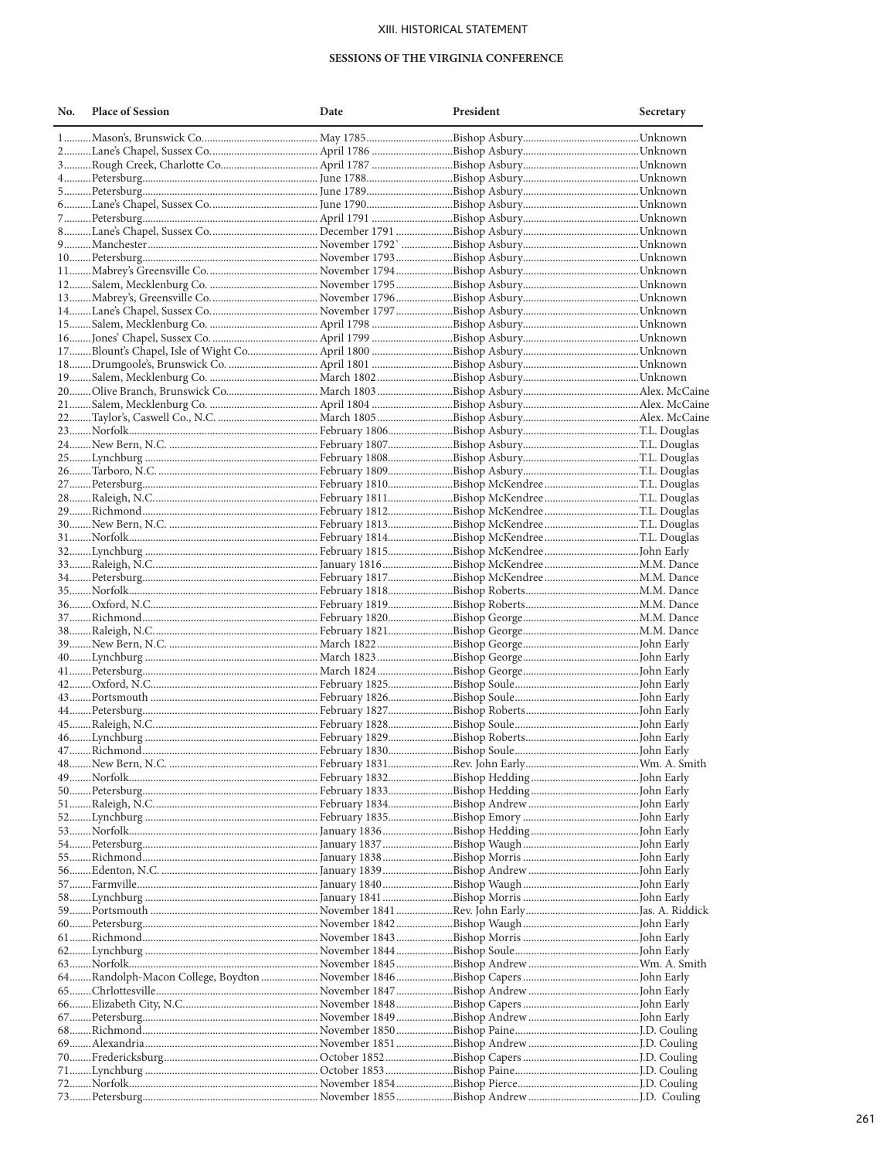# XIII. HISTORICAL STATEMENT

#### SESSIONS OF THE VIRGINIA CONFERENCE

| No. | <b>Place of Session</b> | Date | President | Secretary |
|-----|-------------------------|------|-----------|-----------|
|     |                         |      |           |           |
|     |                         |      |           |           |
|     |                         |      |           |           |
|     |                         |      |           |           |
|     |                         |      |           |           |
|     |                         |      |           |           |
|     |                         |      |           |           |
|     |                         |      |           |           |
|     |                         |      |           |           |
|     |                         |      |           |           |
|     |                         |      |           |           |
|     |                         |      |           |           |
|     |                         |      |           |           |
|     |                         |      |           |           |
|     |                         |      |           |           |
|     |                         |      |           |           |
|     |                         |      |           |           |
|     |                         |      |           |           |
|     |                         |      |           |           |
|     |                         |      |           |           |
|     |                         |      |           |           |
|     |                         |      |           |           |
|     |                         |      |           |           |
|     |                         |      |           |           |
|     |                         |      |           |           |
|     |                         |      |           |           |
|     |                         |      |           |           |
|     |                         |      |           |           |
|     |                         |      |           |           |
|     |                         |      |           |           |
|     |                         |      |           |           |
|     |                         |      |           |           |
|     |                         |      |           |           |
|     |                         |      |           |           |
|     |                         |      |           |           |
|     |                         |      |           |           |
|     |                         |      |           |           |
|     |                         |      |           |           |
|     |                         |      |           |           |
|     |                         |      |           |           |
|     |                         |      |           |           |
|     |                         |      |           |           |
|     |                         |      |           |           |
|     |                         |      |           |           |
|     |                         |      |           |           |
|     |                         |      |           |           |
|     |                         |      |           |           |
|     |                         |      |           |           |
|     |                         |      |           |           |
|     |                         |      |           |           |
|     |                         |      |           |           |
|     |                         |      |           |           |
|     |                         |      |           |           |
|     |                         |      |           |           |
|     |                         |      |           |           |
|     |                         |      |           |           |
|     |                         |      |           |           |
|     |                         |      |           |           |
|     |                         |      |           |           |
|     |                         |      |           |           |
|     |                         |      |           |           |
|     |                         |      |           |           |
|     |                         |      |           |           |
|     |                         |      |           |           |
|     |                         |      |           |           |
|     |                         |      |           |           |
|     |                         |      |           |           |
|     |                         |      |           |           |
|     |                         |      |           |           |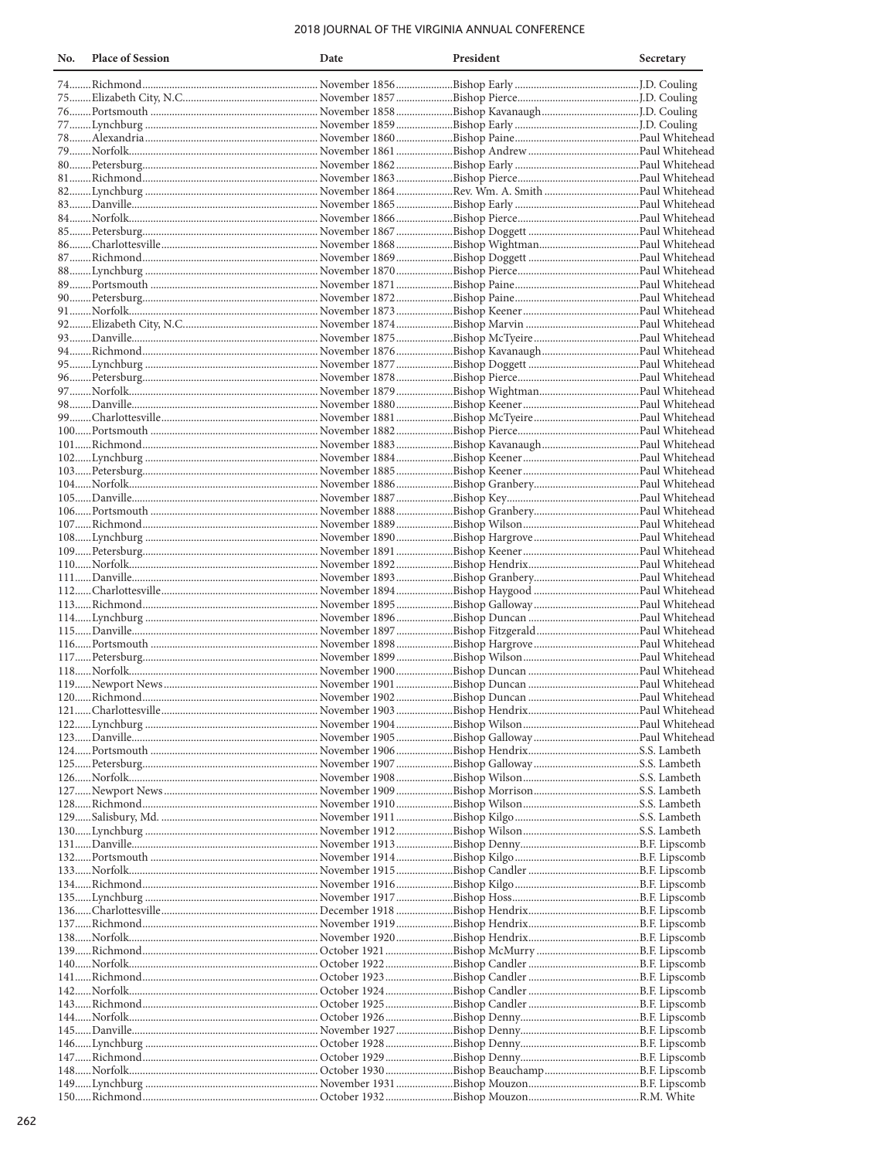# 2018 JOURNAL OF THE VIRGINIA ANNUAL CONFERENCE

| No. | <b>Place of Session</b> | Date | President | Secretary |
|-----|-------------------------|------|-----------|-----------|
|     |                         |      |           |           |
|     |                         |      |           |           |
|     |                         |      |           |           |
|     |                         |      |           |           |
|     |                         |      |           |           |
|     |                         |      |           |           |
|     |                         |      |           |           |
|     |                         |      |           |           |
|     |                         |      |           |           |
|     |                         |      |           |           |
|     |                         |      |           |           |
|     |                         |      |           |           |
|     |                         |      |           |           |
|     |                         |      |           |           |
|     |                         |      |           |           |
|     |                         |      |           |           |
|     |                         |      |           |           |
|     |                         |      |           |           |
|     |                         |      |           |           |
|     |                         |      |           |           |
|     |                         |      |           |           |
|     |                         |      |           |           |
|     |                         |      |           |           |
|     |                         |      |           |           |
|     |                         |      |           |           |
|     |                         |      |           |           |
|     |                         |      |           |           |
|     |                         |      |           |           |
|     |                         |      |           |           |
|     |                         |      |           |           |
|     |                         |      |           |           |
|     |                         |      |           |           |
|     |                         |      |           |           |
|     |                         |      |           |           |
|     |                         |      |           |           |
|     |                         |      |           |           |
|     |                         |      |           |           |
|     |                         |      |           |           |
|     |                         |      |           |           |
|     |                         |      |           |           |
|     |                         |      |           |           |
|     |                         |      |           |           |
|     |                         |      |           |           |
|     |                         |      |           |           |
|     |                         |      |           |           |
|     |                         |      |           |           |
|     |                         |      |           |           |
|     |                         |      |           |           |
|     |                         |      |           |           |
|     |                         |      |           |           |
|     |                         |      |           |           |
|     |                         |      |           |           |
|     |                         |      |           |           |
|     |                         |      |           |           |
|     |                         |      |           |           |
|     |                         |      |           |           |
|     |                         |      |           |           |
|     |                         |      |           |           |
|     |                         |      |           |           |
|     |                         |      |           |           |
|     |                         |      |           |           |
|     |                         |      |           |           |
|     |                         |      |           |           |
|     |                         |      |           |           |
|     |                         |      |           |           |
|     |                         |      |           |           |
|     |                         |      |           |           |
|     |                         |      |           |           |
|     |                         |      |           |           |
|     |                         |      |           |           |
|     |                         |      |           |           |
|     |                         |      |           |           |
|     |                         |      |           |           |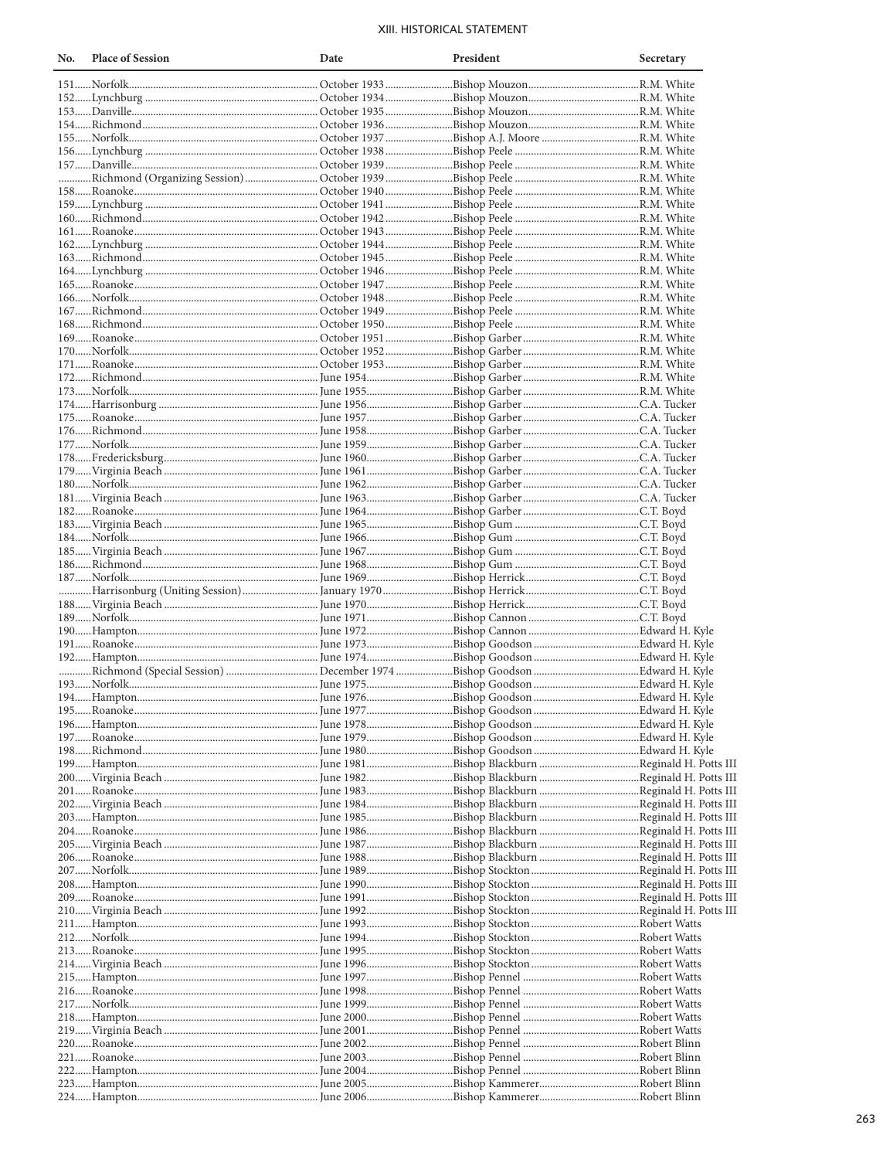# XIII. HISTORICAL STATEMENT

| No. | <b>Place of Session</b>                                                                                             | Date | President | Secretary |
|-----|---------------------------------------------------------------------------------------------------------------------|------|-----------|-----------|
|     |                                                                                                                     |      |           |           |
|     |                                                                                                                     |      |           |           |
|     |                                                                                                                     |      |           |           |
|     |                                                                                                                     |      |           |           |
|     |                                                                                                                     |      |           |           |
|     |                                                                                                                     |      |           |           |
|     |                                                                                                                     |      |           |           |
|     |                                                                                                                     |      |           |           |
|     |                                                                                                                     |      |           |           |
|     |                                                                                                                     |      |           |           |
|     |                                                                                                                     |      |           |           |
|     |                                                                                                                     |      |           |           |
|     |                                                                                                                     |      |           |           |
|     |                                                                                                                     |      |           |           |
|     |                                                                                                                     |      |           |           |
|     |                                                                                                                     |      |           |           |
|     |                                                                                                                     |      |           |           |
|     |                                                                                                                     |      |           |           |
|     |                                                                                                                     |      |           |           |
|     |                                                                                                                     |      |           |           |
|     |                                                                                                                     |      |           |           |
|     |                                                                                                                     |      |           |           |
|     |                                                                                                                     |      |           |           |
|     |                                                                                                                     |      |           |           |
|     |                                                                                                                     |      |           |           |
|     |                                                                                                                     |      |           |           |
|     |                                                                                                                     |      |           |           |
|     |                                                                                                                     |      |           |           |
|     |                                                                                                                     |      |           |           |
|     |                                                                                                                     |      |           |           |
|     |                                                                                                                     |      |           |           |
|     |                                                                                                                     |      |           |           |
|     |                                                                                                                     |      |           |           |
|     |                                                                                                                     |      |           |           |
|     |                                                                                                                     |      |           |           |
|     |                                                                                                                     |      |           |           |
|     |                                                                                                                     |      |           |           |
|     |                                                                                                                     |      |           |           |
|     |                                                                                                                     |      |           |           |
|     |                                                                                                                     |      |           |           |
|     |                                                                                                                     |      |           |           |
|     |                                                                                                                     |      |           |           |
|     |                                                                                                                     |      |           |           |
|     |                                                                                                                     |      |           |           |
|     |                                                                                                                     |      |           |           |
|     |                                                                                                                     |      |           |           |
|     |                                                                                                                     |      |           |           |
|     |                                                                                                                     |      |           |           |
|     | 197……Roanoke……………………………………………………………… June 1979……………………………Bishop Goodson ……………………………………Edward H. Kyle                |      |           |           |
|     |                                                                                                                     |      |           |           |
|     |                                                                                                                     |      |           |           |
|     | 200…… Virginia Beach ……………………………………………………… June 1982………………………………Bishop Blackburn …………………………………Reginald H. Potts III |      |           |           |
|     |                                                                                                                     |      |           |           |
|     | 202……Virginia Beach ……………………………………………………… June 1984………………………………Bishop Blackburn …………………………………Reginald H. Potts III  |      |           |           |
|     |                                                                                                                     |      |           |           |
|     | 204……Roanoke…………………………………………………………………………June 1986………………………………Bishop Blackburn ………………………………Reginald H. Potts III     |      |           |           |
|     | 205……Virginia Beach ……………………………………………………… June 1987………………………………Bishop Blackburn …………………………………Reginald H. Potts III  |      |           |           |
|     |                                                                                                                     |      |           |           |
|     |                                                                                                                     |      |           |           |
|     | 208……Hampton…………………………………………………………………………June 1990………………………………Bishop Stockton……………………………………Reginald H. Potts III     |      |           |           |
|     |                                                                                                                     |      |           |           |
|     |                                                                                                                     |      |           |           |
|     |                                                                                                                     |      |           |           |
|     |                                                                                                                     |      |           |           |
|     |                                                                                                                     |      |           |           |
|     |                                                                                                                     |      |           |           |
|     |                                                                                                                     |      |           |           |
|     |                                                                                                                     |      |           |           |
|     |                                                                                                                     |      |           |           |
|     | 218……Hampton………………………………………………………………………June 2000………………………………Bishop Pennel ………………………………………Robert Watts               |      |           |           |
|     |                                                                                                                     |      |           |           |
|     |                                                                                                                     |      |           |           |
|     | 222……Hampton………………………………………………………………………June 2004………………………………Bishop Pennel ………………………………………Robert Blinn               |      |           |           |
|     |                                                                                                                     |      |           |           |
|     |                                                                                                                     |      |           |           |
|     |                                                                                                                     |      |           |           |